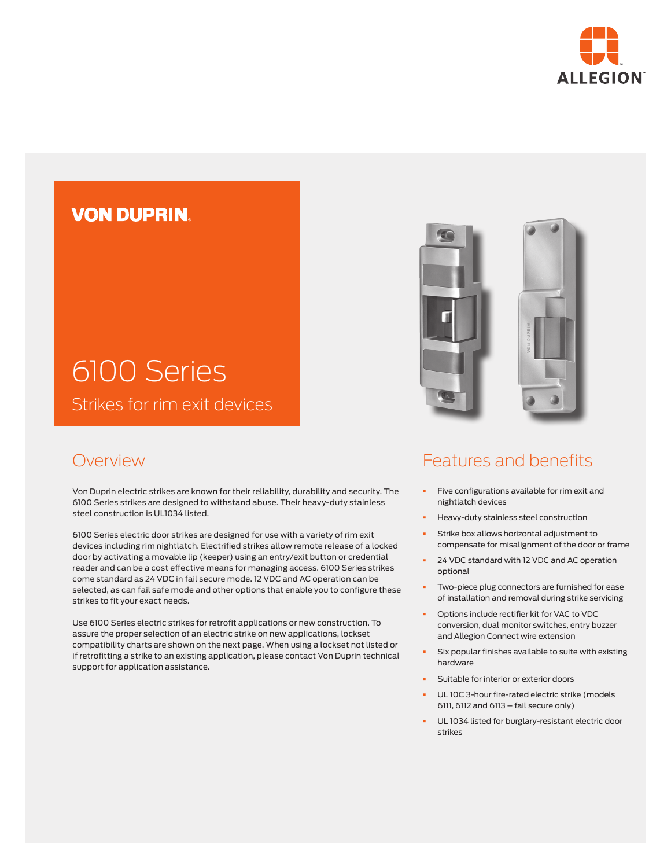

### **VON DUPRIN**

# 6100 Series Strikes for rim exit devices

### Overview

Von Duprin electric strikes are known for their reliability, durability and security. The 6100 Series strikes are designed to withstand abuse. Their heavy-duty stainless steel construction is UL1034 listed.

6100 Series electric door strikes are designed for use with a variety of rim exit devices including rim nightlatch. Electrified strikes allow remote release of a locked door by activating a movable lip (keeper) using an entry/exit button or credential reader and can be a cost effective means for managing access. 6100 Series strikes come standard as 24 VDC in fail secure mode. 12 VDC and AC operation can be selected, as can fail safe mode and other options that enable you to configure these strikes to fit your exact needs.

Use 6100 Series electric strikes for retrofit applications or new construction. To assure the proper selection of an electric strike on new applications, lockset compatibility charts are shown on the next page. When using a lockset not listed or if retrofitting a strike to an existing application, please contact Von Duprin technical support for application assistance.

## Features and benefits

- **•** Five configurations available for rim exit and nightlatch devices
- § Heavy-duty stainless steel construction
- Strike box allows horizontal adjustment to compensate for misalignment of the door or frame
- § 24 VDC standard with 12 VDC and AC operation optional
- Two-piece plug connectors are furnished for ease of installation and removal during strike servicing
- § Options include rectifier kit for VAC to VDC conversion, dual monitor switches, entry buzzer and Allegion Connect wire extension
- Six popular finishes available to suite with existing hardware
- § Suitable for interior or exterior doors
- UL 10C 3-hour fire-rated electric strike (models 6111, 6112 and 6113 – fail secure only)
- UL 1034 listed for burglary-resistant electric door strikes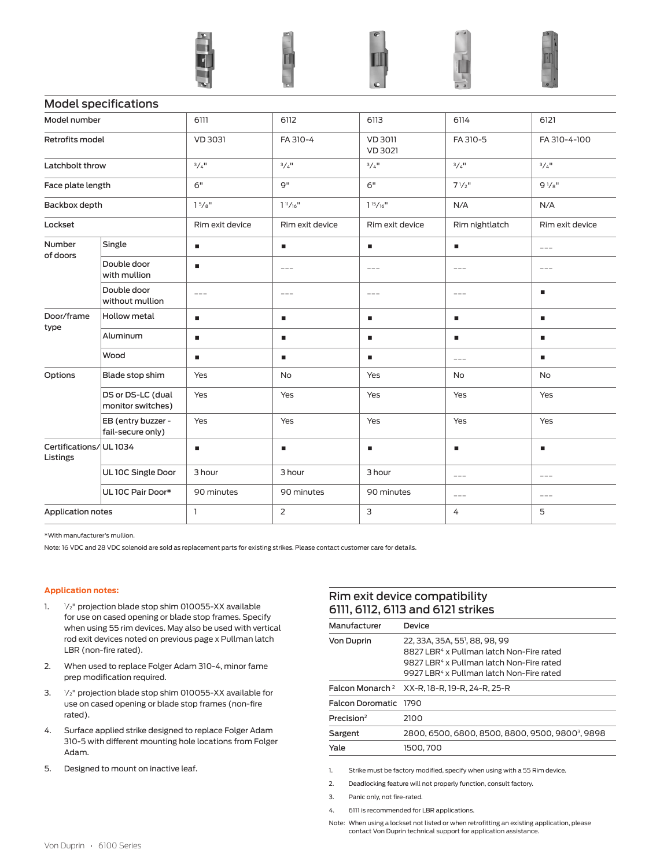|                                   |                                         | $\mathbf{E}$        | $\overline{\phantom{a}}$          | $\circ$                          | $\overline{a}$          | $\circ$ .           |
|-----------------------------------|-----------------------------------------|---------------------|-----------------------------------|----------------------------------|-------------------------|---------------------|
|                                   | <b>Model specifications</b>             |                     |                                   |                                  |                         |                     |
| Model number                      |                                         | 6111                | 6112                              | 6113                             | 6114                    | 6121                |
| Retrofits model                   |                                         | VD 3031             | FA 310-4                          | <b>VD 3011</b><br><b>VD 3021</b> | FA 310-5                | FA 310-4-100        |
| Latchbolt throw                   |                                         | $3/4$ <sup>11</sup> | $3/4$ <sup>11</sup>               | $3/4$ <sup>11</sup>              | $3/4$ <sup>11</sup>     | $3/4$ <sup>11</sup> |
| Face plate length                 |                                         | 6"                  | g"                                | 6"                               | $7^{1}/2$ <sup>11</sup> | $9\frac{1}{8}$ "    |
| Backbox depth                     |                                         | 15/s''              | 1 <sup>11</sup> /16 <sup>11</sup> | $1\frac{15}{16}$ <sup>11</sup>   | N/A                     | N/A                 |
| Lockset                           |                                         | Rim exit device     | Rim exit device                   | Rim exit device                  | Rim nightlatch          | Rim exit device     |
| Number                            | Single                                  | $\blacksquare$      | ×                                 | $\blacksquare$                   | a,                      | $---$               |
| of doors                          | Double door<br>with mullion             | $\blacksquare$      | $- - -$                           | $---$                            | $\frac{1}{2}$           | $- - -$             |
|                                   | Double door<br>without mullion          | $\qquad \qquad - -$ | $\qquad \qquad - -$               | $\qquad \qquad - -$              | $\qquad \qquad - -$     | ٠                   |
| Door/frame<br>type                | Hollow metal                            | $\blacksquare$      | ٠                                 | п                                | a,                      | ٠                   |
|                                   | Aluminum                                | $\blacksquare$      | ٠                                 | $\blacksquare$                   | a,                      | ٠                   |
|                                   | Wood                                    | ٠                   | ٠                                 | ٠                                | $---$                   | ٠                   |
| Options                           | Blade stop shim                         | Yes                 | <b>No</b>                         | Yes                              | No                      | No                  |
|                                   | DS or DS-LC (dual<br>monitor switches)  | Yes                 | Yes                               | Yes                              | Yes                     | Yes                 |
|                                   | EB (entry buzzer -<br>fail-secure only) | Yes                 | Yes                               | Yes                              | Yes                     | Yes                 |
| Certifications/UL1034<br>Listings |                                         | $\blacksquare$      | ٠                                 | ٠                                | ٠                       | ٠                   |
|                                   | UL 10C Single Door                      | 3 hour              | 3 hour                            | 3 hour                           | $\qquad \qquad - -$     | $\qquad \qquad - -$ |
|                                   | UL 10C Pair Door*                       | 90 minutes          | 90 minutes                        | 90 minutes                       | $---$                   | $---$               |
| <b>Application notes</b>          |                                         | $\mathbf{1}$        | $\overline{2}$                    | 3                                | 4                       | 5                   |

\*With manufacturer's mullion.

Note: 16 VDC and 28 VDC solenoid are sold as replacement parts for existing strikes. Please contact customer care for details.

#### **Application notes:**

- 1. 1/<sub>2</sub>" projection blade stop shim 010055-XX available for use on cased opening or blade stop frames. Specify when using 55 rim devices. May also be used with vertical rod exit devices noted on previous page x Pullman latch LBR (non-fire rated).
- 2. When used to replace Folger Adam 310-4, minor fame prep modification required.
- 3. <sup>1</sup> 1/<sub>2</sub>" projection blade stop shim 010055-XX available for use on cased opening or blade stop frames (non-fire rated).
- 4. Surface applied strike designed to replace Folger Adam 310-5 with different mounting hole locations from Folger Adam.
- 5. Designed to mount on inactive leaf.

#### Rim exit device compatibility 6111, 6112, 6113 and 6121 strikes

| Manufacturer           | Device                                                                                                                                                                                                             |
|------------------------|--------------------------------------------------------------------------------------------------------------------------------------------------------------------------------------------------------------------|
| <b>Von Duprin</b>      | 22, 33A, 35A, 55 <sup>1</sup> , 88, 98, 99<br>8827 LBR <sup>4</sup> x Pullman latch Non-Fire rated<br>9827 LBR <sup>4</sup> x Pullman latch Non-Fire rated<br>9927 LBR <sup>4</sup> x Pullman latch Non-Fire rated |
|                        | Falcon Monarch <sup>2</sup> XX-R, 18-R, 19-R, 24-R, 25-R                                                                                                                                                           |
| Falcon Doromatic 1790  |                                                                                                                                                                                                                    |
| Precision <sup>2</sup> | 2100                                                                                                                                                                                                               |
| Sargent                | 2800, 6500, 6800, 8500, 8800, 9500, 98003, 9898                                                                                                                                                                    |
| Yale                   | 1500.700                                                                                                                                                                                                           |
|                        |                                                                                                                                                                                                                    |

1. Strike must be factory modified, specify when using with a 55 Rim device.

- 2. Deadlocking feature will not properly function, consult factory.
- 3. Panic only, not fire-rated.
- 4. 6111 is recommended for LBR applications.

Note: When using a lockset not listed or when retrofitting an existing application, please contact Von Duprin technical support for application assistance.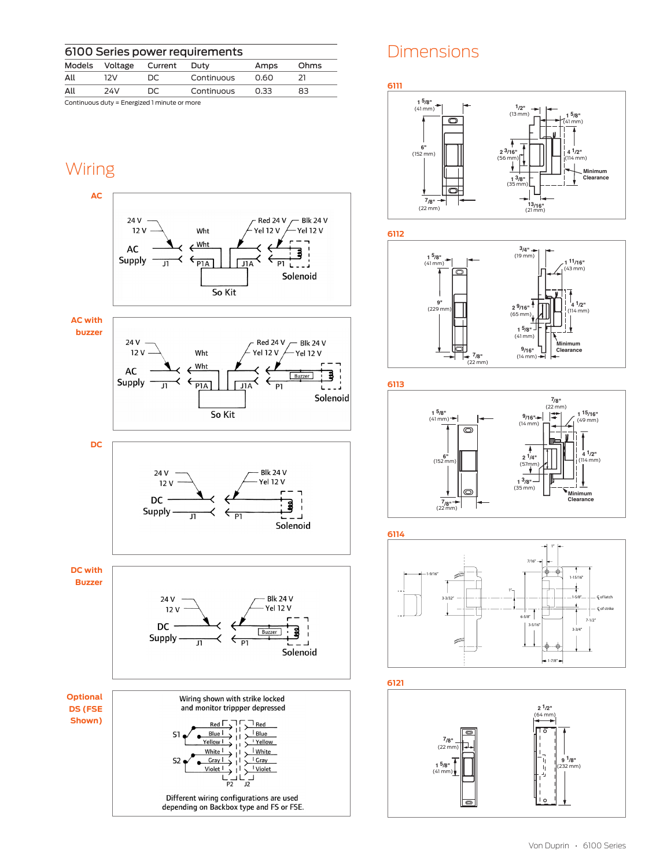| 6100 Series power requirements |         |                                              |            |      |      |
|--------------------------------|---------|----------------------------------------------|------------|------|------|
| Models                         | Voltage | Current                                      | Duty       | Amps | Ohms |
| All                            | 12V     | DC.                                          | Continuous | 0.60 | 21   |
| All                            | 24V     | DC.                                          | Continuous | 0.33 | 83   |
|                                |         | Continuous duty = Energized 1 minute or more |            |      |      |

### Wiring











### **Dimensions**

**6111**